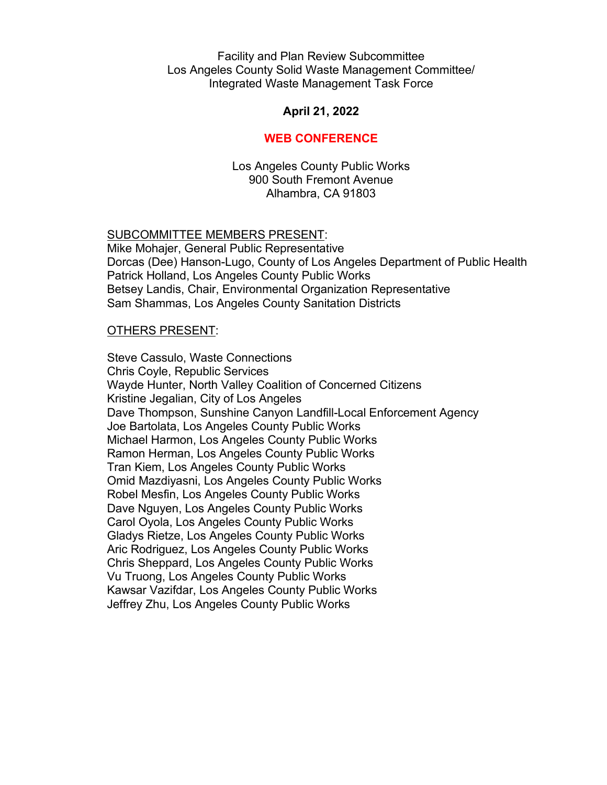# Facility and Plan Review Subcommittee Los Angeles County Solid Waste Management Committee/ Integrated Waste Management Task Force

### **April 21, 2022**

# **WEB CONFERENCE**

Los Angeles County Public Works 900 South Fremont Avenue Alhambra, CA 91803

#### SUBCOMMITTEE MEMBERS PRESENT:

Mike Mohajer, General Public Representative Dorcas (Dee) Hanson-Lugo, County of Los Angeles Department of Public Health Patrick Holland, Los Angeles County Public Works Betsey Landis, Chair, Environmental Organization Representative Sam Shammas, Los Angeles County Sanitation Districts

### OTHERS PRESENT:

Steve Cassulo, Waste Connections Chris Coyle, Republic Services Wayde Hunter, North Valley Coalition of Concerned Citizens Kristine Jegalian, City of Los Angeles Dave Thompson, Sunshine Canyon Landfill-Local Enforcement Agency Joe Bartolata, Los Angeles County Public Works Michael Harmon, Los Angeles County Public Works Ramon Herman, Los Angeles County Public Works Tran Kiem, Los Angeles County Public Works Omid Mazdiyasni, Los Angeles County Public Works Robel Mesfin, Los Angeles County Public Works Dave Nguyen, Los Angeles County Public Works Carol Oyola, Los Angeles County Public Works Gladys Rietze, Los Angeles County Public Works Aric Rodriguez, Los Angeles County Public Works Chris Sheppard, Los Angeles County Public Works Vu Truong, Los Angeles County Public Works Kawsar Vazifdar, Los Angeles County Public Works Jeffrey Zhu, Los Angeles County Public Works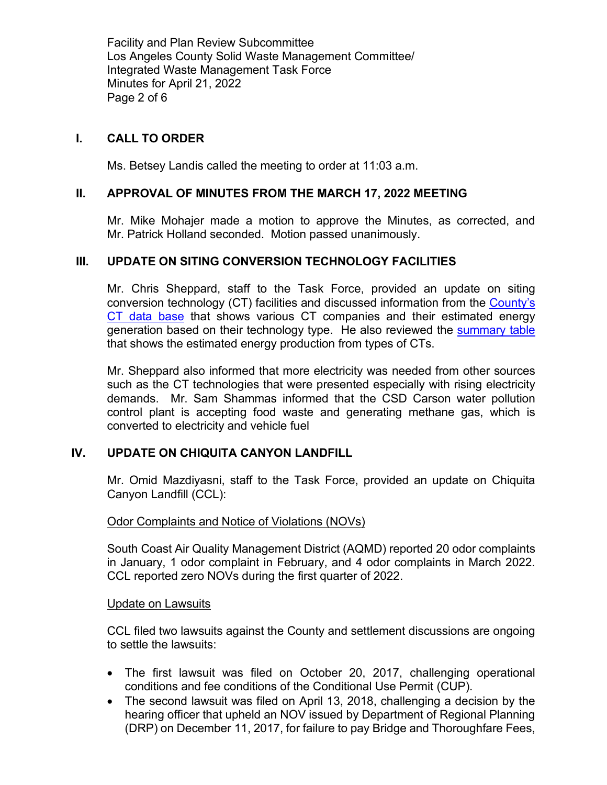Facility and Plan Review Subcommittee Los Angeles County Solid Waste Management Committee/ Integrated Waste Management Task Force Minutes for April 21, 2022 Page 2 of 6

# **I. CALL TO ORDER**

Ms. Betsey Landis called the meeting to order at 11:03 a.m.

# **II. APPROVAL OF MINUTES FROM THE MARCH 17, 2022 MEETING**

Mr. Mike Mohajer made a motion to approve the Minutes, as corrected, and Mr. Patrick Holland seconded. Motion passed unanimously.

# **III. UPDATE ON SITING CONVERSION TECHNOLOGY FACILITIES**

Mr. Chris Sheppard, staff to the Task Force, provided an update on siting conversion technology (CT) facilities and discussed information from the [County's](https://pw.lacounty.gov/epd/tf/Attachments/Minutes_Attachments/2022_Attachments/SoCalConversion_Technical_Database.pdf)  [CT data base](https://pw.lacounty.gov/epd/tf/Attachments/Minutes_Attachments/2022_Attachments/SoCalConversion_Technical_Database.pdf) that shows various CT companies and their estimated energy generation based on their technology type. He also reviewed the [summary table](https://pw.lacounty.gov/epd/tf/Attachments/Minutes_Attachments/2022_Attachments/Conversion_Technology_Energy_Production.pdf) that shows the estimated energy production from types of CTs.

Mr. Sheppard also informed that more electricity was needed from other sources such as the CT technologies that were presented especially with rising electricity demands. Mr. Sam Shammas informed that the CSD Carson water pollution control plant is accepting food waste and generating methane gas, which is converted to electricity and vehicle fuel

# **IV. UPDATE ON CHIQUITA CANYON LANDFILL**

Mr. Omid Mazdiyasni, staff to the Task Force, provided an update on Chiquita Canyon Landfill (CCL):

#### Odor Complaints and Notice of Violations (NOVs)

South Coast Air Quality Management District (AQMD) reported 20 odor complaints in January, 1 odor complaint in February, and 4 odor complaints in March 2022. CCL reported zero NOVs during the first quarter of 2022.

#### Update on Lawsuits

CCL filed two lawsuits against the County and settlement discussions are ongoing to settle the lawsuits:

- The first lawsuit was filed on October 20, 2017, challenging operational conditions and fee conditions of the Conditional Use Permit (CUP).
- The second lawsuit was filed on April 13, 2018, challenging a decision by the hearing officer that upheld an NOV issued by Department of Regional Planning (DRP) on December 11, 2017, for failure to pay Bridge and Thoroughfare Fees,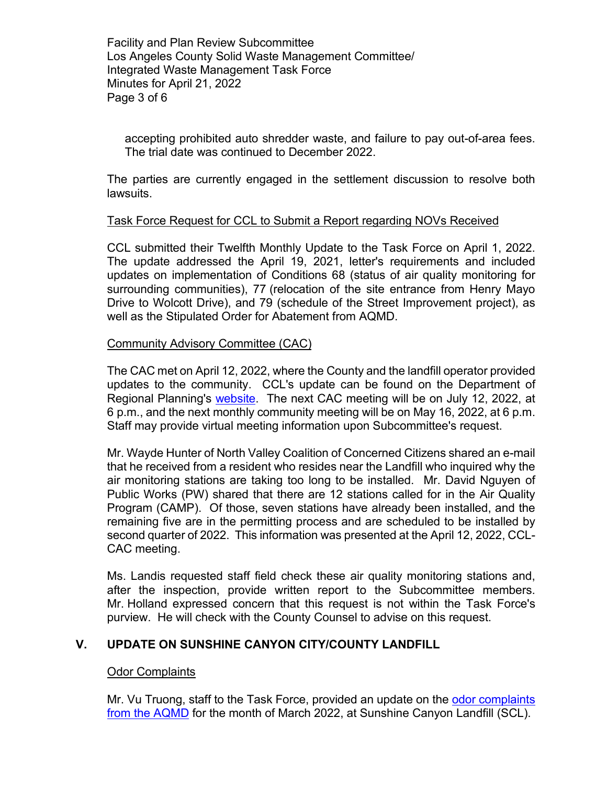Facility and Plan Review Subcommittee Los Angeles County Solid Waste Management Committee/ Integrated Waste Management Task Force Minutes for April 21, 2022 Page 3 of 6

accepting prohibited auto shredder waste, and failure to pay out-of-area fees. The trial date was continued to December 2022.

The parties are currently engaged in the settlement discussion to resolve both lawsuits.

### Task Force Request for CCL to Submit a Report regarding NOVs Received

CCL submitted their Twelfth Monthly Update to the Task Force on April 1, 2022. The update addressed the April 19, 2021, letter's requirements and included updates on implementation of Conditions 68 (status of air quality monitoring for surrounding communities), 77 (relocation of the site entrance from Henry Mayo Drive to Wolcott Drive), and 79 (schedule of the Street Improvement project), as well as the Stipulated Order for Abatement from AQMD.

#### Community Advisory Committee (CAC)

The CAC met on April 12, 2022, where the County and the landfill operator provided updates to the community. CCL's update can be found on the Department of Regional Planning's [website.](https://planning.lacounty.gov/) The next CAC meeting will be on July 12, 2022, at 6 p.m., and the next monthly community meeting will be on May 16, 2022, at 6 p.m. Staff may provide virtual meeting information upon Subcommittee's request.

Mr. Wayde Hunter of North Valley Coalition of Concerned Citizens shared an e-mail that he received from a resident who resides near the Landfill who inquired why the air monitoring stations are taking too long to be installed. Mr. David Nguyen of Public Works (PW) shared that there are 12 stations called for in the Air Quality Program (CAMP). Of those, seven stations have already been installed, and the remaining five are in the permitting process and are scheduled to be installed by second quarter of 2022. This information was presented at the April 12, 2022, CCL-CAC meeting.

Ms. Landis requested staff field check these air quality monitoring stations and, after the inspection, provide written report to the Subcommittee members. Mr. Holland expressed concern that this request is not within the Task Force's purview. He will check with the County Counsel to advise on this request.

# **V. UPDATE ON SUNSHINE CANYON CITY/COUNTY LANDFILL**

#### Odor Complaints

Mr. Vu Truong, staff to the Task Force, provided an update on the [odor complaints](http://pw.lacounty.gov/epd/tf/Attachments/Minutes_Attachments/2022_Attachments/March_2022-AQMD_complaint-nov-summary.pdf)  [from the AQMD](http://pw.lacounty.gov/epd/tf/Attachments/Minutes_Attachments/2022_Attachments/March_2022-AQMD_complaint-nov-summary.pdf) for the month of March 2022, at Sunshine Canyon Landfill (SCL).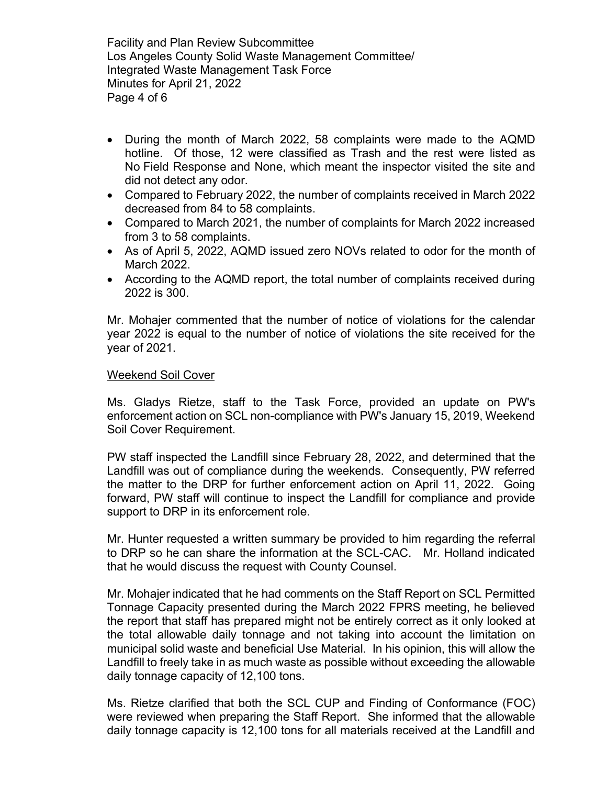Facility and Plan Review Subcommittee Los Angeles County Solid Waste Management Committee/ Integrated Waste Management Task Force Minutes for April 21, 2022 Page 4 of 6

- During the month of March 2022, 58 complaints were made to the AQMD hotline. Of those, 12 were classified as Trash and the rest were listed as No Field Response and None, which meant the inspector visited the site and did not detect any odor.
- Compared to February 2022, the number of complaints received in March 2022 decreased from 84 to 58 complaints.
- Compared to March 2021, the number of complaints for March 2022 increased from 3 to 58 complaints.
- As of April 5, 2022, AQMD issued zero NOVs related to odor for the month of March 2022.
- According to the AQMD report, the total number of complaints received during 2022 is 300.

Mr. Mohajer commented that the number of notice of violations for the calendar year 2022 is equal to the number of notice of violations the site received for the year of 2021.

### Weekend Soil Cover

Ms. Gladys Rietze, staff to the Task Force, provided an update on PW's enforcement action on SCL non-compliance with PW's January 15, 2019, Weekend Soil Cover Requirement.

PW staff inspected the Landfill since February 28, 2022, and determined that the Landfill was out of compliance during the weekends. Consequently, PW referred the matter to the DRP for further enforcement action on April 11, 2022. Going forward, PW staff will continue to inspect the Landfill for compliance and provide support to DRP in its enforcement role.

Mr. Hunter requested a written summary be provided to him regarding the referral to DRP so he can share the information at the SCL-CAC. Mr. Holland indicated that he would discuss the request with County Counsel.

Mr. Mohajer indicated that he had comments on the Staff Report on SCL Permitted Tonnage Capacity presented during the March 2022 FPRS meeting, he believed the report that staff has prepared might not be entirely correct as it only looked at the total allowable daily tonnage and not taking into account the limitation on municipal solid waste and beneficial Use Material. In his opinion, this will allow the Landfill to freely take in as much waste as possible without exceeding the allowable daily tonnage capacity of 12,100 tons.

Ms. Rietze clarified that both the SCL CUP and Finding of Conformance (FOC) were reviewed when preparing the Staff Report. She informed that the allowable daily tonnage capacity is 12,100 tons for all materials received at the Landfill and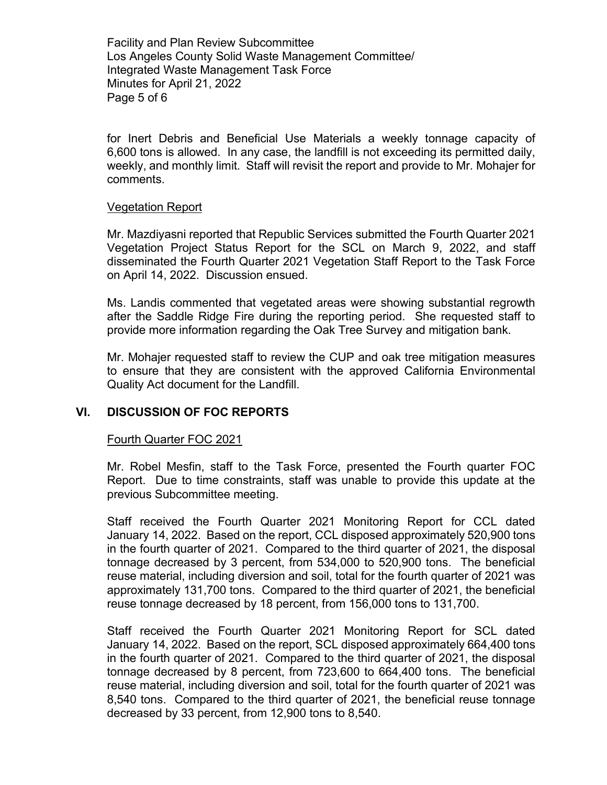Facility and Plan Review Subcommittee Los Angeles County Solid Waste Management Committee/ Integrated Waste Management Task Force Minutes for April 21, 2022 Page 5 of 6

for Inert Debris and Beneficial Use Materials a weekly tonnage capacity of 6,600 tons is allowed. In any case, the landfill is not exceeding its permitted daily, weekly, and monthly limit. Staff will revisit the report and provide to Mr. Mohajer for comments.

#### Vegetation Report

Mr. Mazdiyasni reported that Republic Services submitted the Fourth Quarter 2021 Vegetation Project Status Report for the SCL on March 9, 2022, and staff disseminated the Fourth Quarter 2021 Vegetation Staff Report to the Task Force on April 14, 2022. Discussion ensued.

Ms. Landis commented that vegetated areas were showing substantial regrowth after the Saddle Ridge Fire during the reporting period. She requested staff to provide more information regarding the Oak Tree Survey and mitigation bank.

Mr. Mohajer requested staff to review the CUP and oak tree mitigation measures to ensure that they are consistent with the approved California Environmental Quality Act document for the Landfill.

#### **VI. DISCUSSION OF FOC REPORTS**

#### Fourth Quarter FOC 2021

Mr. Robel Mesfin, staff to the Task Force, presented the Fourth quarter FOC Report. Due to time constraints, staff was unable to provide this update at the previous Subcommittee meeting.

Staff received the Fourth Quarter 2021 Monitoring Report for CCL dated January 14, 2022. Based on the report, CCL disposed approximately 520,900 tons in the fourth quarter of 2021. Compared to the third quarter of 2021, the disposal tonnage decreased by 3 percent, from 534,000 to 520,900 tons. The beneficial reuse material, including diversion and soil, total for the fourth quarter of 2021 was approximately 131,700 tons. Compared to the third quarter of 2021, the beneficial reuse tonnage decreased by 18 percent, from 156,000 tons to 131,700.

Staff received the Fourth Quarter 2021 Monitoring Report for SCL dated January 14, 2022. Based on the report, SCL disposed approximately 664,400 tons in the fourth quarter of 2021. Compared to the third quarter of 2021, the disposal tonnage decreased by 8 percent, from 723,600 to 664,400 tons. The beneficial reuse material, including diversion and soil, total for the fourth quarter of 2021 was 8,540 tons. Compared to the third quarter of 2021, the beneficial reuse tonnage decreased by 33 percent, from 12,900 tons to 8,540.